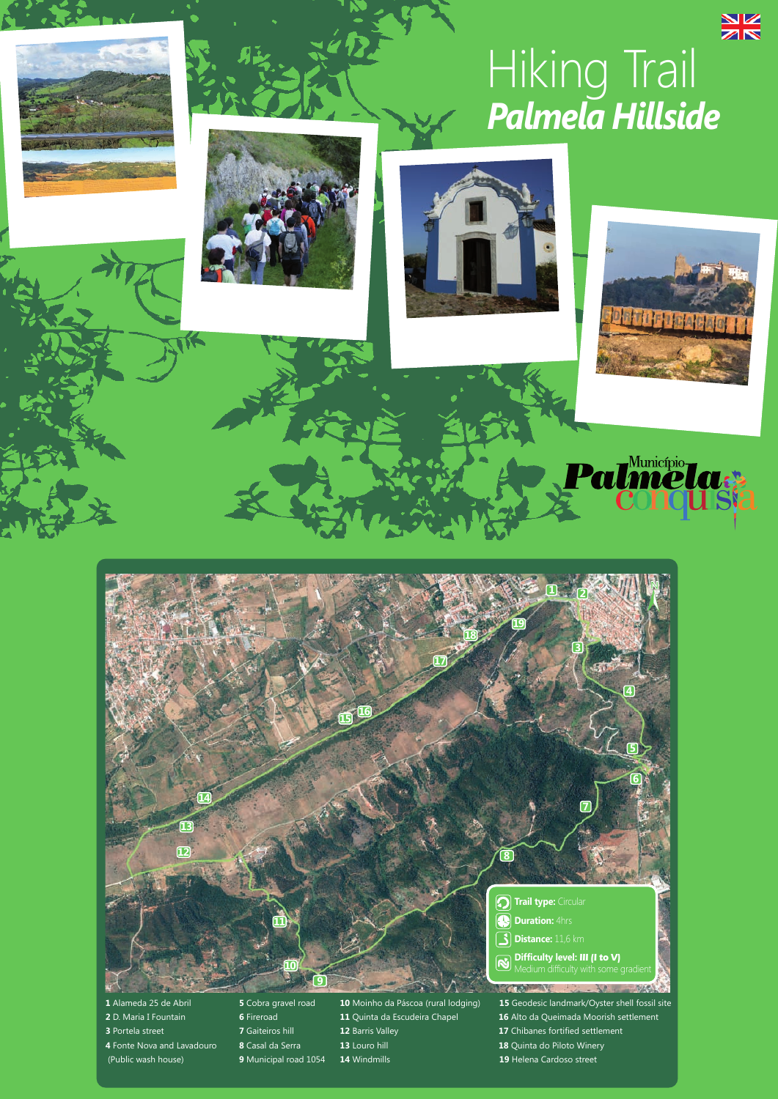# $rac{N}{N}$ Hiking Trail *Palmela Hillside*









Município<br>**MCUA** 

 $\mathbf{r}$ 

 **2 N Trail type:** Circular **<sup>O</sup>** Duration: 4hrs Distance: 11,6 km **Difficulty level: III (I to V)**

- 
- 
- 
- 
- 
- Alameda 25 de Abril **5** Cobra gravel road **10** Moinho da Páscoa (rural lodging) **15** Geodesic landmark/Oyster shell fossil site D. Maria I Fountain **6** Fireroad **11** Quinta da Escudeira Chapel **16** Alto da Queimada Moorish settlement Portela street **7** Gaiteiros hill **12** Barris Valley **17** Chibanes fortified settlement Fonte Nova and Lavadouro **8** Casal da Serra **13** Louro hill **18** Quinta do Piloto Winery (Public wash house) **9** Municipal road 1054 **14** Windmills **19** Helena Cardoso street
	-
	-